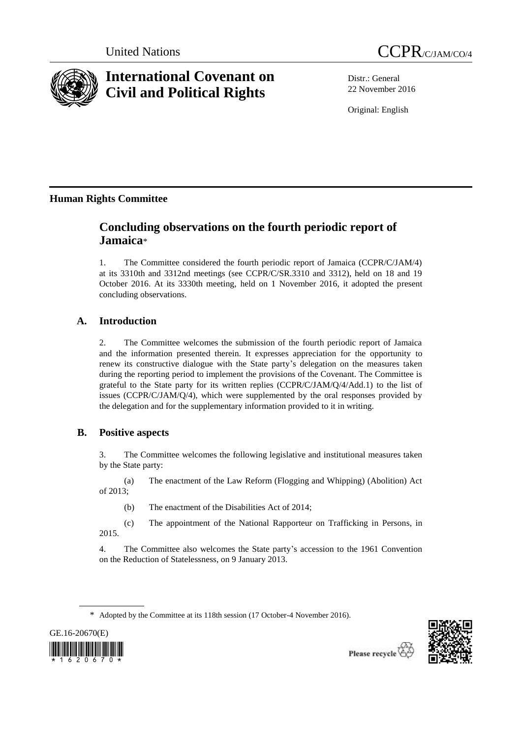



# **International Covenant on Civil and Political Rights**

Distr.: General 22 November 2016

Original: English

# **Human Rights Committee**

# **Concluding observations on the fourth periodic report of Jamaica**\*

1. The Committee considered the fourth periodic report of Jamaica (CCPR/C/JAM/4) at its 3310th and 3312nd meetings (see CCPR/C/SR.3310 and 3312), held on 18 and 19 October 2016. At its 3330th meeting, held on 1 November 2016, it adopted the present concluding observations.

## **A. Introduction**

2. The Committee welcomes the submission of the fourth periodic report of Jamaica and the information presented therein. It expresses appreciation for the opportunity to renew its constructive dialogue with the State party's delegation on the measures taken during the reporting period to implement the provisions of the Covenant. The Committee is grateful to the State party for its written replies (CCPR/C/JAM/Q/4/Add.1) to the list of issues (CCPR/C/JAM/Q/4), which were supplemented by the oral responses provided by the delegation and for the supplementary information provided to it in writing.

## **B. Positive aspects**

3. The Committee welcomes the following legislative and institutional measures taken by the State party:

(a) The enactment of the Law Reform (Flogging and Whipping) (Abolition) Act of 2013;

(b) The enactment of the Disabilities Act of 2014;

(c) The appointment of the National Rapporteur on Trafficking in Persons, in 2015.

4. The Committee also welcomes the State party's accession to the 1961 Convention on the Reduction of Statelessness, on 9 January 2013.





<sup>\*</sup> Adopted by the Committee at its 118th session (17 October-4 November 2016).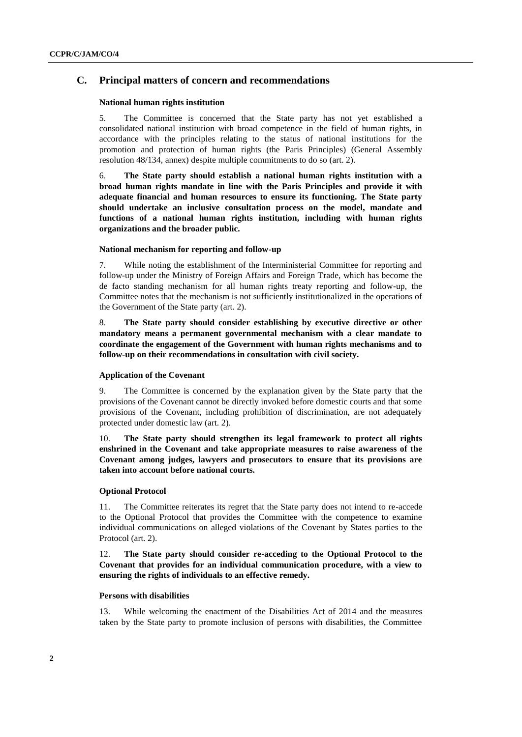#### **C. Principal matters of concern and recommendations**

#### **National human rights institution**

5. The Committee is concerned that the State party has not yet established a consolidated national institution with broad competence in the field of human rights, in accordance with the principles relating to the status of national institutions for the promotion and protection of human rights (the Paris Principles) (General Assembly resolution 48/134, annex) despite multiple commitments to do so (art. 2).

6. **The State party should establish a national human rights institution with a broad human rights mandate in line with the Paris Principles and provide it with adequate financial and human resources to ensure its functioning. The State party should undertake an inclusive consultation process on the model, mandate and functions of a national human rights institution, including with human rights organizations and the broader public.**

#### **National mechanism for reporting and follow-up**

7. While noting the establishment of the Interministerial Committee for reporting and follow-up under the Ministry of Foreign Affairs and Foreign Trade, which has become the de facto standing mechanism for all human rights treaty reporting and follow-up, the Committee notes that the mechanism is not sufficiently institutionalized in the operations of the Government of the State party (art. 2).

8. **The State party should consider establishing by executive directive or other mandatory means a permanent governmental mechanism with a clear mandate to coordinate the engagement of the Government with human rights mechanisms and to follow-up on their recommendations in consultation with civil society.**

#### **Application of the Covenant**

9. The Committee is concerned by the explanation given by the State party that the provisions of the Covenant cannot be directly invoked before domestic courts and that some provisions of the Covenant, including prohibition of discrimination, are not adequately protected under domestic law (art. 2).

10. **The State party should strengthen its legal framework to protect all rights enshrined in the Covenant and take appropriate measures to raise awareness of the Covenant among judges, lawyers and prosecutors to ensure that its provisions are taken into account before national courts.**

#### **Optional Protocol**

11. The Committee reiterates its regret that the State party does not intend to re-accede to the Optional Protocol that provides the Committee with the competence to examine individual communications on alleged violations of the Covenant by States parties to the Protocol (art. 2).

12. **The State party should consider re-acceding to the Optional Protocol to the Covenant that provides for an individual communication procedure, with a view to ensuring the rights of individuals to an effective remedy.** 

#### **Persons with disabilities**

13. While welcoming the enactment of the Disabilities Act of 2014 and the measures taken by the State party to promote inclusion of persons with disabilities, the Committee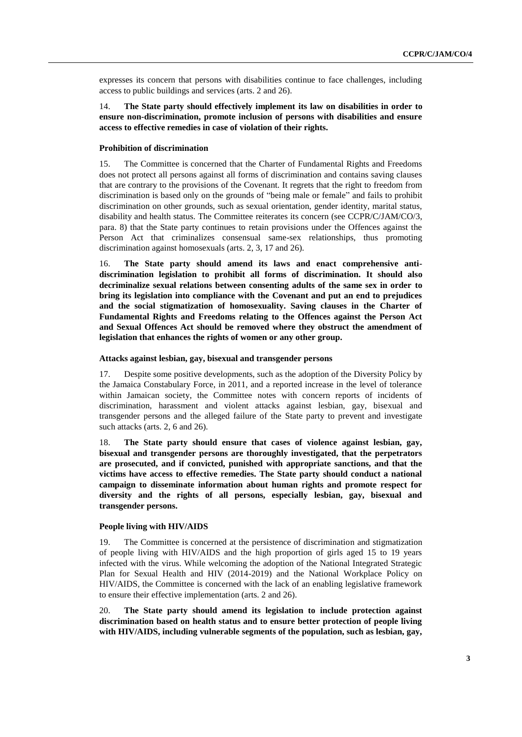expresses its concern that persons with disabilities continue to face challenges, including access to public buildings and services (arts. 2 and 26).

14. **The State party should effectively implement its law on disabilities in order to ensure non-discrimination, promote inclusion of persons with disabilities and ensure access to effective remedies in case of violation of their rights.**

#### **Prohibition of discrimination**

15. The Committee is concerned that the Charter of Fundamental Rights and Freedoms does not protect all persons against all forms of discrimination and contains saving clauses that are contrary to the provisions of the Covenant. It regrets that the right to freedom from discrimination is based only on the grounds of "being male or female" and fails to prohibit discrimination on other grounds, such as sexual orientation, gender identity, marital status, disability and health status. The Committee reiterates its concern (see CCPR/C/JAM/CO/3, para. 8) that the State party continues to retain provisions under the Offences against the Person Act that criminalizes consensual same-sex relationships, thus promoting discrimination against homosexuals (arts. 2, 3, 17 and 26).

16. **The State party should amend its laws and enact comprehensive antidiscrimination legislation to prohibit all forms of discrimination. It should also decriminalize sexual relations between consenting adults of the same sex in order to bring its legislation into compliance with the Covenant and put an end to prejudices and the social stigmatization of homosexuality. Saving clauses in the Charter of Fundamental Rights and Freedoms relating to the Offences against the Person Act and Sexual Offences Act should be removed where they obstruct the amendment of legislation that enhances the rights of women or any other group.** 

#### **Attacks against lesbian, gay, bisexual and transgender persons**

17. Despite some positive developments, such as the adoption of the Diversity Policy by the Jamaica Constabulary Force, in 2011, and a reported increase in the level of tolerance within Jamaican society, the Committee notes with concern reports of incidents of discrimination, harassment and violent attacks against lesbian, gay, bisexual and transgender persons and the alleged failure of the State party to prevent and investigate such attacks (arts. 2, 6 and 26).

18. **The State party should ensure that cases of violence against lesbian, gay, bisexual and transgender persons are thoroughly investigated, that the perpetrators are prosecuted, and if convicted, punished with appropriate sanctions, and that the victims have access to effective remedies. The State party should conduct a national campaign to disseminate information about human rights and promote respect for diversity and the rights of all persons, especially lesbian, gay, bisexual and transgender persons.** 

#### **People living with HIV/AIDS**

19. The Committee is concerned at the persistence of discrimination and stigmatization of people living with HIV/AIDS and the high proportion of girls aged 15 to 19 years infected with the virus. While welcoming the adoption of the National Integrated Strategic Plan for Sexual Health and HIV (2014-2019) and the National Workplace Policy on HIV/AIDS, the Committee is concerned with the lack of an enabling legislative framework to ensure their effective implementation (arts. 2 and 26).

20. **The State party should amend its legislation to include protection against discrimination based on health status and to ensure better protection of people living with HIV/AIDS, including vulnerable segments of the population, such as lesbian, gay,**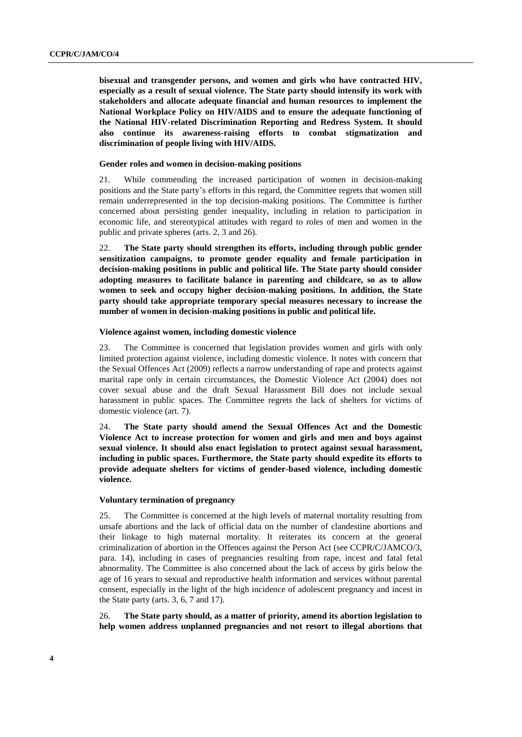**bisexual and transgender persons, and women and girls who have contracted HIV, especially as a result of sexual violence. The State party should intensify its work with stakeholders and allocate adequate financial and human resources to implement the National Workplace Policy on HIV/AIDS and to ensure the adequate functioning of the National HIV-related Discrimination Reporting and Redress System. It should also continue its awareness-raising efforts to combat stigmatization and discrimination of people living with HIV/AIDS.**

#### **Gender roles and women in decision-making positions**

21. While commending the increased participation of women in decision-making positions and the State party's efforts in this regard, the Committee regrets that women still remain underrepresented in the top decision-making positions. The Committee is further concerned about persisting gender inequality, including in relation to participation in economic life, and stereotypical attitudes with regard to roles of men and women in the public and private spheres (arts. 2, 3 and 26).

22. **The State party should strengthen its efforts, including through public gender sensitization campaigns, to promote gender equality and female participation in decision-making positions in public and political life. The State party should consider adopting measures to facilitate balance in parenting and childcare, so as to allow women to seek and occupy higher decision-making positions. In addition, the State party should take appropriate temporary special measures necessary to increase the number of women in decision-making positions in public and political life.**

#### **Violence against women, including domestic violence**

23. The Committee is concerned that legislation provides women and girls with only limited protection against violence, including domestic violence. It notes with concern that the Sexual Offences Act (2009) reflects a narrow understanding of rape and protects against marital rape only in certain circumstances, the Domestic Violence Act (2004) does not cover sexual abuse and the draft Sexual Harassment Bill does not include sexual harassment in public spaces. The Committee regrets the lack of shelters for victims of domestic violence (art. 7).

24. **The State party should amend the Sexual Offences Act and the Domestic Violence Act to increase protection for women and girls and men and boys against sexual violence. It should also enact legislation to protect against sexual harassment, including in public spaces. Furthermore, the State party should expedite its efforts to provide adequate shelters for victims of gender-based violence, including domestic violence.**

#### **Voluntary termination of pregnancy**

25. The Committee is concerned at the high levels of maternal mortality resulting from unsafe abortions and the lack of official data on the number of clandestine abortions and their linkage to high maternal mortality. It reiterates its concern at the general criminalization of abortion in the Offences against the Person Act (see CCPR/C/JAMCO/3, para. 14), including in cases of pregnancies resulting from rape, incest and fatal fetal abnormality. The Committee is also concerned about the lack of access by girls below the age of 16 years to sexual and reproductive health information and services without parental consent, especially in the light of the high incidence of adolescent pregnancy and incest in the State party (arts. 3, 6, 7 and 17).

26. **The State party should, as a matter of priority, amend its abortion legislation to help women address unplanned pregnancies and not resort to illegal abortions that**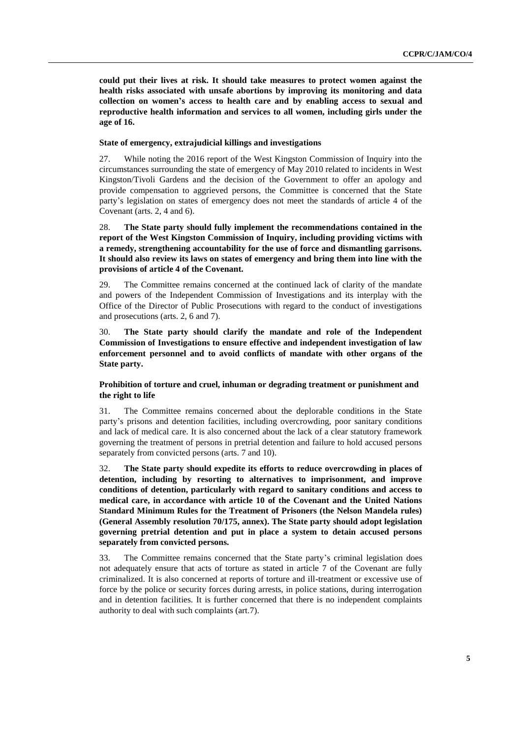**could put their lives at risk. It should take measures to protect women against the health risks associated with unsafe abortions by improving its monitoring and data collection on women's access to health care and by enabling access to sexual and reproductive health information and services to all women, including girls under the age of 16.**

#### **State of emergency, extrajudicial killings and investigations**

27. While noting the 2016 report of the West Kingston Commission of Inquiry into the circumstances surrounding the state of emergency of May 2010 related to incidents in West Kingston/Tivoli Gardens and the decision of the Government to offer an apology and provide compensation to aggrieved persons, the Committee is concerned that the State party's legislation on states of emergency does not meet the standards of article 4 of the Covenant (arts. 2, 4 and 6).

28. **The State party should fully implement the recommendations contained in the report of the West Kingston Commission of Inquiry, including providing victims with a remedy, strengthening accountability for the use of force and dismantling garrisons. It should also review its laws on states of emergency and bring them into line with the provisions of article 4 of the Covenant.**

29. The Committee remains concerned at the continued lack of clarity of the mandate and powers of the Independent Commission of Investigations and its interplay with the Office of the Director of Public Prosecutions with regard to the conduct of investigations and prosecutions (arts. 2, 6 and 7).

30. **The State party should clarify the mandate and role of the Independent Commission of Investigations to ensure effective and independent investigation of law enforcement personnel and to avoid conflicts of mandate with other organs of the State party.**

#### **Prohibition of torture and cruel, inhuman or degrading treatment or punishment and the right to life**

31. The Committee remains concerned about the deplorable conditions in the State party's prisons and detention facilities, including overcrowding, poor sanitary conditions and lack of medical care. It is also concerned about the lack of a clear statutory framework governing the treatment of persons in pretrial detention and failure to hold accused persons separately from convicted persons (arts. 7 and 10).

32. **The State party should expedite its efforts to reduce overcrowding in places of detention, including by resorting to alternatives to imprisonment, and improve conditions of detention, particularly with regard to sanitary conditions and access to medical care, in accordance with article 10 of the Covenant and the United Nations Standard Minimum Rules for the Treatment of Prisoners (the Nelson Mandela rules) (General Assembly resolution 70/175, annex). The State party should adopt legislation governing pretrial detention and put in place a system to detain accused persons separately from convicted persons.** 

33. The Committee remains concerned that the State party's criminal legislation does not adequately ensure that acts of torture as stated in article 7 of the Covenant are fully criminalized. It is also concerned at reports of torture and ill-treatment or excessive use of force by the police or security forces during arrests, in police stations, during interrogation and in detention facilities. It is further concerned that there is no independent complaints authority to deal with such complaints (art.7).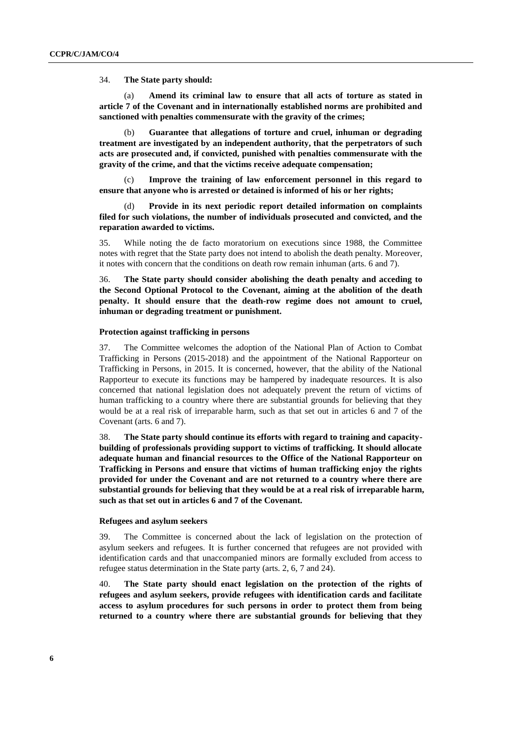34. **The State party should:**

(a) **Amend its criminal law to ensure that all acts of torture as stated in article 7 of the Covenant and in internationally established norms are prohibited and sanctioned with penalties commensurate with the gravity of the crimes;** 

(b) **Guarantee that allegations of torture and cruel, inhuman or degrading treatment are investigated by an independent authority, that the perpetrators of such acts are prosecuted and, if convicted, punished with penalties commensurate with the gravity of the crime, and that the victims receive adequate compensation;**

(c) **Improve the training of law enforcement personnel in this regard to ensure that anyone who is arrested or detained is informed of his or her rights;** 

Provide in its next periodic report detailed information on complaints **filed for such violations, the number of individuals prosecuted and convicted, and the reparation awarded to victims.**

35. While noting the de facto moratorium on executions since 1988, the Committee notes with regret that the State party does not intend to abolish the death penalty. Moreover, it notes with concern that the conditions on death row remain inhuman (arts. 6 and 7).

36. **The State party should consider abolishing the death penalty and acceding to the Second Optional Protocol to the Covenant, aiming at the abolition of the death penalty. It should ensure that the death-row regime does not amount to cruel, inhuman or degrading treatment or punishment.**

#### **Protection against trafficking in persons**

37. The Committee welcomes the adoption of the National Plan of Action to Combat Trafficking in Persons (2015-2018) and the appointment of the National Rapporteur on Trafficking in Persons, in 2015. It is concerned, however, that the ability of the National Rapporteur to execute its functions may be hampered by inadequate resources. It is also concerned that national legislation does not adequately prevent the return of victims of human trafficking to a country where there are substantial grounds for believing that they would be at a real risk of irreparable harm, such as that set out in articles 6 and 7 of the Covenant (arts. 6 and 7).

38. **The State party should continue its efforts with regard to training and capacitybuilding of professionals providing support to victims of trafficking. It should allocate adequate human and financial resources to the Office of the National Rapporteur on Trafficking in Persons and ensure that victims of human trafficking enjoy the rights provided for under the Covenant and are not returned to a country where there are substantial grounds for believing that they would be at a real risk of irreparable harm, such as that set out in articles 6 and 7 of the Covenant.**

#### **Refugees and asylum seekers**

39. The Committee is concerned about the lack of legislation on the protection of asylum seekers and refugees. It is further concerned that refugees are not provided with identification cards and that unaccompanied minors are formally excluded from access to refugee status determination in the State party (arts. 2, 6, 7 and 24).

40. **The State party should enact legislation on the protection of the rights of refugees and asylum seekers, provide refugees with identification cards and facilitate access to asylum procedures for such persons in order to protect them from being returned to a country where there are substantial grounds for believing that they**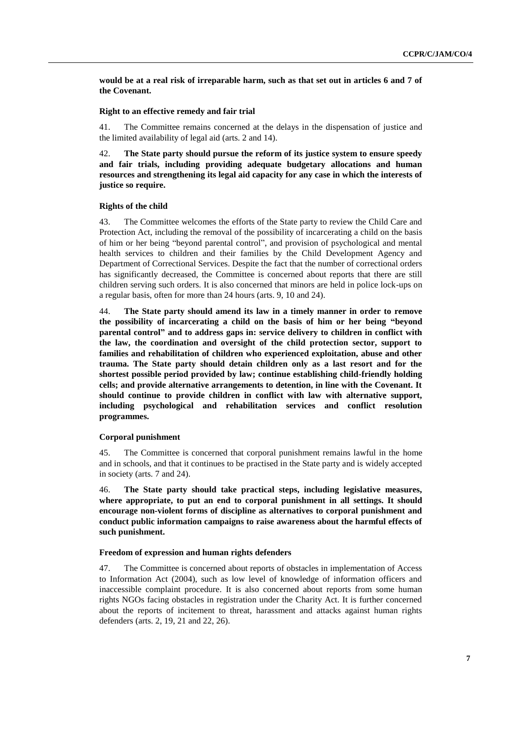**would be at a real risk of irreparable harm, such as that set out in articles 6 and 7 of the Covenant.**

#### **Right to an effective remedy and fair trial**

41. The Committee remains concerned at the delays in the dispensation of justice and the limited availability of legal aid (arts. 2 and 14).

42. **The State party should pursue the reform of its justice system to ensure speedy and fair trials, including providing adequate budgetary allocations and human resources and strengthening its legal aid capacity for any case in which the interests of justice so require.**

#### **Rights of the child**

43. The Committee welcomes the efforts of the State party to review the Child Care and Protection Act, including the removal of the possibility of incarcerating a child on the basis of him or her being "beyond parental control", and provision of psychological and mental health services to children and their families by the Child Development Agency and Department of Correctional Services. Despite the fact that the number of correctional orders has significantly decreased, the Committee is concerned about reports that there are still children serving such orders. It is also concerned that minors are held in police lock-ups on a regular basis, often for more than 24 hours (arts. 9, 10 and 24).

44. **The State party should amend its law in a timely manner in order to remove the possibility of incarcerating a child on the basis of him or her being "beyond parental control" and to address gaps in: service delivery to children in conflict with the law, the coordination and oversight of the child protection sector, support to families and rehabilitation of children who experienced exploitation, abuse and other trauma. The State party should detain children only as a last resort and for the shortest possible period provided by law; continue establishing child-friendly holding cells; and provide alternative arrangements to detention, in line with the Covenant. It should continue to provide children in conflict with law with alternative support, including psychological and rehabilitation services and conflict resolution programmes.** 

#### **Corporal punishment**

45. The Committee is concerned that corporal punishment remains lawful in the home and in schools, and that it continues to be practised in the State party and is widely accepted in society (arts. 7 and 24).

46. **The State party should take practical steps, including legislative measures, where appropriate, to put an end to corporal punishment in all settings. It should encourage non-violent forms of discipline as alternatives to corporal punishment and conduct public information campaigns to raise awareness about the harmful effects of such punishment.**

#### **Freedom of expression and human rights defenders**

47. The Committee is concerned about reports of obstacles in implementation of Access to Information Act (2004), such as low level of knowledge of information officers and inaccessible complaint procedure. It is also concerned about reports from some human rights NGOs facing obstacles in registration under the Charity Act. It is further concerned about the reports of incitement to threat, harassment and attacks against human rights defenders (arts. 2, 19, 21 and 22, 26).